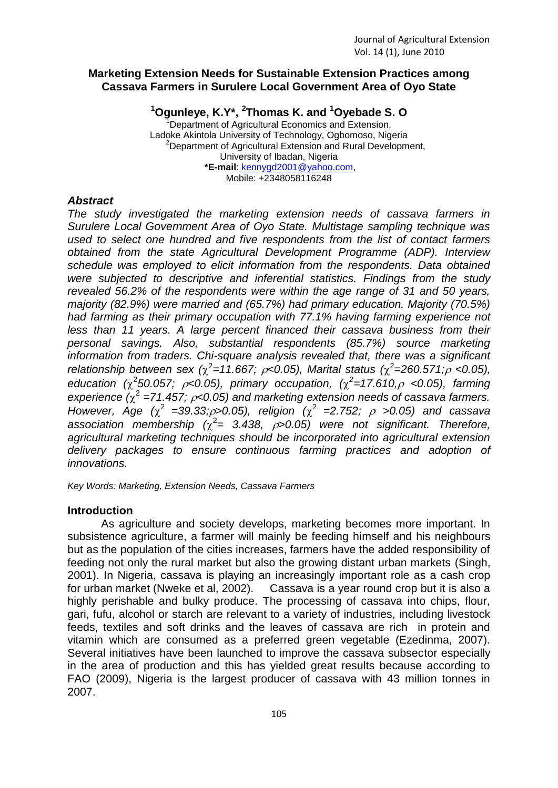## **Marketing Extension Needs for Sustainable Extension Practices among Cassava Farmers in Surulere Local Government Area of Oyo State**

**<sup>1</sup>Ogunleye, K.Y\*, <sup>2</sup> Thomas K. and <sup>1</sup>Oyebade S. O** Department of Agricultural Economics and Extension, Ladoke Akintola University of Technology, Ogbomoso, Nigeria <sup>2</sup>Department of Agricultural Extension and Rural Development, University of Ibadan, Nigeria **\*E-mail**: [kennygd2001@yahoo.com,](mailto:kennygd2001@yahoo.com) Mobile: +2348058116248

## *Abstract*

*The study investigated the marketing extension needs of cassava farmers in Surulere Local Government Area of Oyo State. Multistage sampling technique was used to select one hundred and five respondents from the list of contact farmers obtained from the state Agricultural Development Programme (ADP). Interview schedule was employed to elicit information from the respondents. Data obtained were subjected to descriptive and inferential statistics. Findings from the study revealed 56.2% of the respondents were within the age range of 31 and 50 years, majority (82.9%) were married and (65.7%) had primary education. Majority (70.5%) had farming as their primary occupation with 77.1% having farming experience not less than 11 years. A large percent financed their cassava business from their personal savings. Also, substantial respondents (85.7%) source marketing information from traders. Chi-square analysis revealed that, there was a significant relationship between sex (* $\chi^2$ =11.667;  $\rho$ <0.05), Marital status ( $\chi^2$ =260.571; $\rho$  <0.05), education ( $\chi^2$ 50.057;  $\rho$ <0.05), primary occupation, ( $\chi^2$ =17.610, $\rho$  <0.05), farming experience  $(\chi^2 = 71.457; \rho < 0.05)$  and marketing extension needs of cassava farmers. *However, Age* ( $\chi^2$  =39.33; $\rho$ >0.05), religion ( $\chi^2$  =2.752;  $\rho$  >0.05) and cassava association membership  $(\chi^2 = 3.438, \rho > 0.05)$  were not significant. Therefore, *agricultural marketing techniques should be incorporated into agricultural extension delivery packages to ensure continuous farming practices and adoption of innovations.*

*Key Words: Marketing, Extension Needs, Cassava Farmers*

## **Introduction**

As agriculture and society develops, marketing becomes more important. In subsistence agriculture, a farmer will mainly be feeding himself and his neighbours but as the population of the cities increases, farmers have the added responsibility of feeding not only the rural market but also the growing distant urban markets (Singh, 2001). In Nigeria, cassava is playing an increasingly important role as a cash crop for urban market (Nweke et al, 2002). Cassava is a year round crop but it is also a highly perishable and bulky produce. The processing of cassava into chips, flour, gari, fufu, alcohol or starch are relevant to a variety of industries, including livestock feeds, textiles and soft drinks and the leaves of cassava are rich in protein and vitamin which are consumed as a preferred green vegetable (Ezedinma, 2007). Several initiatives have been launched to improve the cassava subsector especially in the area of production and this has yielded great results because according to FAO (2009), Nigeria is the largest producer of cassava with 43 million tonnes in 2007.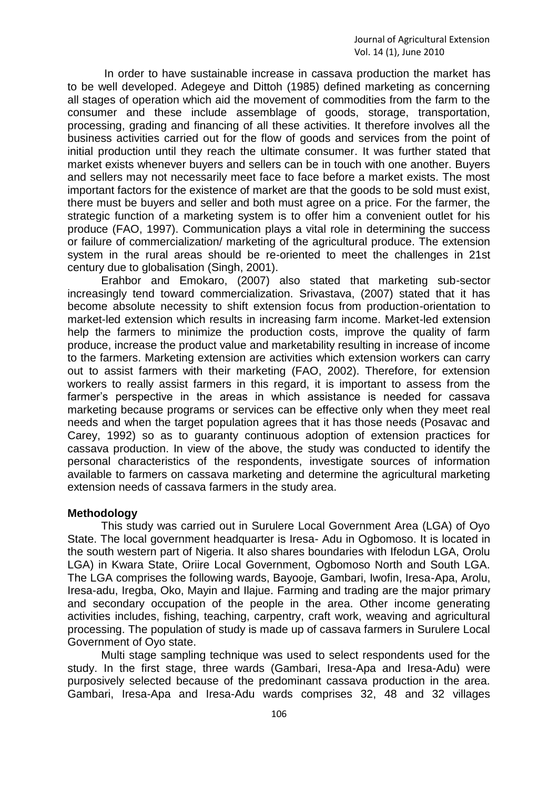In order to have sustainable increase in cassava production the market has to be well developed. Adegeye and Dittoh (1985) defined marketing as concerning all stages of operation which aid the movement of commodities from the farm to the consumer and these include assemblage of goods, storage, transportation, processing, grading and financing of all these activities. It therefore involves all the business activities carried out for the flow of goods and services from the point of initial production until they reach the ultimate consumer. It was further stated that market exists whenever buyers and sellers can be in touch with one another. Buyers and sellers may not necessarily meet face to face before a market exists. The most important factors for the existence of market are that the goods to be sold must exist, there must be buyers and seller and both must agree on a price. For the farmer, the strategic function of a marketing system is to offer him a convenient outlet for his produce (FAO, 1997). Communication plays a vital role in determining the success or failure of commercialization/ marketing of the agricultural produce. The extension system in the rural areas should be re-oriented to meet the challenges in 21st century due to globalisation (Singh, 2001).

Erahbor and Emokaro, (2007) also stated that marketing sub-sector increasingly tend toward commercialization. Srivastava, (2007) stated that it has become absolute necessity to shift extension focus from production-orientation to market-led extension which results in increasing farm income. Market-led extension help the farmers to minimize the production costs, improve the quality of farm produce, increase the product value and marketability resulting in increase of income to the farmers. Marketing extension are activities which extension workers can carry out to assist farmers with their marketing (FAO, 2002). Therefore, for extension workers to really assist farmers in this regard, it is important to assess from the farmer's perspective in the areas in which assistance is needed for cassava marketing because programs or services can be effective only when they meet real needs and when the target population agrees that it has those needs (Posavac and Carey, 1992) so as to guaranty continuous adoption of extension practices for cassava production. In view of the above, the study was conducted to identify the personal characteristics of the respondents, investigate sources of information available to farmers on cassava marketing and determine the agricultural marketing extension needs of cassava farmers in the study area.

### **Methodology**

This study was carried out in Surulere Local Government Area (LGA) of Oyo State. The local government headquarter is Iresa- Adu in Ogbomoso. It is located in the south western part of Nigeria. It also shares boundaries with Ifelodun LGA, Orolu LGA) in Kwara State, Oriire Local Government, Ogbomoso North and South LGA. The LGA comprises the following wards, Bayooje, Gambari, Iwofin, Iresa-Apa, Arolu, Iresa-adu, Iregba, Oko, Mayin and Ilajue. Farming and trading are the major primary and secondary occupation of the people in the area. Other income generating activities includes, fishing, teaching, carpentry, craft work, weaving and agricultural processing. The population of study is made up of cassava farmers in Surulere Local Government of Oyo state.

Multi stage sampling technique was used to select respondents used for the study. In the first stage, three wards (Gambari, Iresa-Apa and Iresa-Adu) were purposively selected because of the predominant cassava production in the area. Gambari, Iresa-Apa and Iresa-Adu wards comprises 32, 48 and 32 villages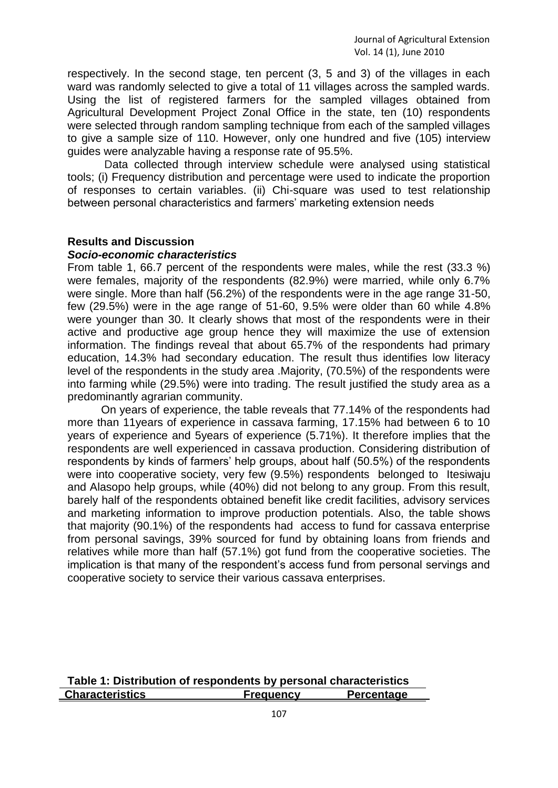respectively. In the second stage, ten percent (3, 5 and 3) of the villages in each ward was randomly selected to give a total of 11 villages across the sampled wards. Using the list of registered farmers for the sampled villages obtained from Agricultural Development Project Zonal Office in the state, ten (10) respondents were selected through random sampling technique from each of the sampled villages to give a sample size of 110. However, only one hundred and five (105) interview guides were analyzable having a response rate of 95.5%.

Data collected through interview schedule were analysed using statistical tools; (i) Frequency distribution and percentage were used to indicate the proportion of responses to certain variables. (ii) Chi-square was used to test relationship between personal characteristics and farmers' marketing extension needs

### **Results and Discussion**

#### *Socio-economic characteristics*

From table 1, 66.7 percent of the respondents were males, while the rest (33.3 %) were females, majority of the respondents (82.9%) were married, while only 6.7% were single. More than half (56.2%) of the respondents were in the age range 31-50, few (29.5%) were in the age range of 51-60, 9.5% were older than 60 while 4.8% were younger than 30. It clearly shows that most of the respondents were in their active and productive age group hence they will maximize the use of extension information. The findings reveal that about 65.7% of the respondents had primary education, 14.3% had secondary education. The result thus identifies low literacy level of the respondents in the study area .Majority, (70.5%) of the respondents were into farming while (29.5%) were into trading. The result justified the study area as a predominantly agrarian community.

On years of experience, the table reveals that 77.14% of the respondents had more than 11years of experience in cassava farming, 17.15% had between 6 to 10 years of experience and 5years of experience (5.71%). It therefore implies that the respondents are well experienced in cassava production. Considering distribution of respondents by kinds of farmers' help groups, about half (50.5%) of the respondents were into cooperative society, very few (9.5%) respondents belonged to Itesiwaju and Alasopo help groups, while (40%) did not belong to any group. From this result, barely half of the respondents obtained benefit like credit facilities, advisory services and marketing information to improve production potentials. Also, the table shows that majority (90.1%) of the respondents had access to fund for cassava enterprise from personal savings, 39% sourced for fund by obtaining loans from friends and relatives while more than half (57.1%) got fund from the cooperative societies. The implication is that many of the respondent's access fund from personal servings and cooperative society to service their various cassava enterprises.

| Table 1: Distribution of respondents by personal characteristics |                  |                   |
|------------------------------------------------------------------|------------------|-------------------|
| <b>Characteristics</b>                                           | <b>Frequency</b> | <b>Percentage</b> |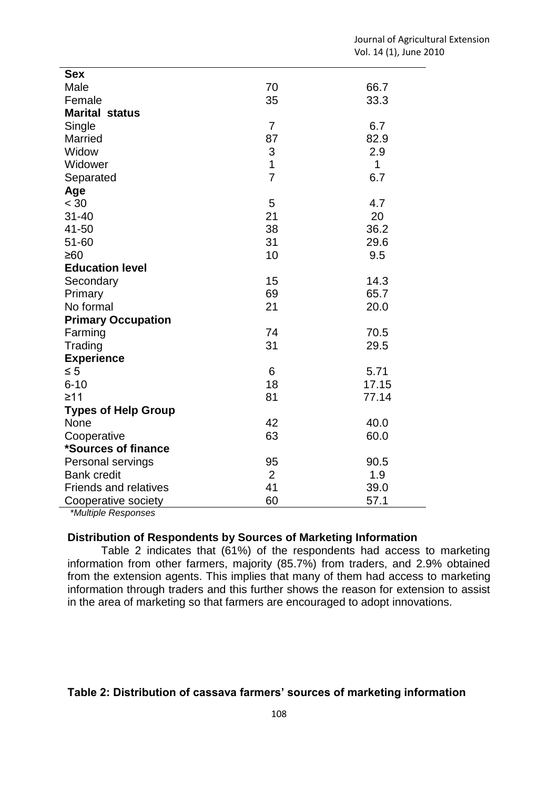| <b>Sex</b>                   |                |              |
|------------------------------|----------------|--------------|
| Male                         | 70             | 66.7         |
| Female                       | 35             | 33.3         |
| <b>Marital status</b>        |                |              |
| Single                       | $\overline{7}$ | 6.7          |
| <b>Married</b>               | 87             | 82.9         |
| Widow                        | 3              | 2.9          |
| Widower                      | $\mathbf{1}$   | $\mathbf{1}$ |
| Separated                    | $\overline{7}$ | 6.7          |
| Age                          |                |              |
| < 30                         | 5              | 4.7          |
| $31 - 40$                    | 21             | 20           |
| 41-50                        | 38             | 36.2         |
| 51-60                        | 31             | 29.6         |
| ≥60                          | 10             | 9.5          |
| <b>Education level</b>       |                |              |
| Secondary                    | 15             | 14.3         |
| Primary                      | 69             | 65.7         |
| No formal                    | 21             | 20.0         |
| <b>Primary Occupation</b>    |                |              |
| Farming                      | 74             | 70.5         |
| Trading                      | 31             | 29.5         |
| <b>Experience</b>            |                |              |
| $\leq 5$                     | 6              | 5.71         |
| $6 - 10$                     | 18             | 17.15        |
| $\geq 11$                    | 81             | 77.14        |
| <b>Types of Help Group</b>   |                |              |
| None                         | 42             | 40.0         |
| Cooperative                  | 63             | 60.0         |
| *Sources of finance          |                |              |
| Personal servings            | 95             | 90.5         |
| <b>Bank credit</b>           | $\overline{2}$ | 1.9          |
| <b>Friends and relatives</b> | 41             | 39.0         |
| Cooperative society          | 60             | 57.1         |
| $*$ Martinia Decen           |                |              |

*\*Multiple Responses* 

## **Distribution of Respondents by Sources of Marketing Information**

Table 2 indicates that (61%) of the respondents had access to marketing information from other farmers, majority (85.7%) from traders, and 2.9% obtained from the extension agents. This implies that many of them had access to marketing information through traders and this further shows the reason for extension to assist in the area of marketing so that farmers are encouraged to adopt innovations.

# **Table 2: Distribution of cassava farmers' sources of marketing information**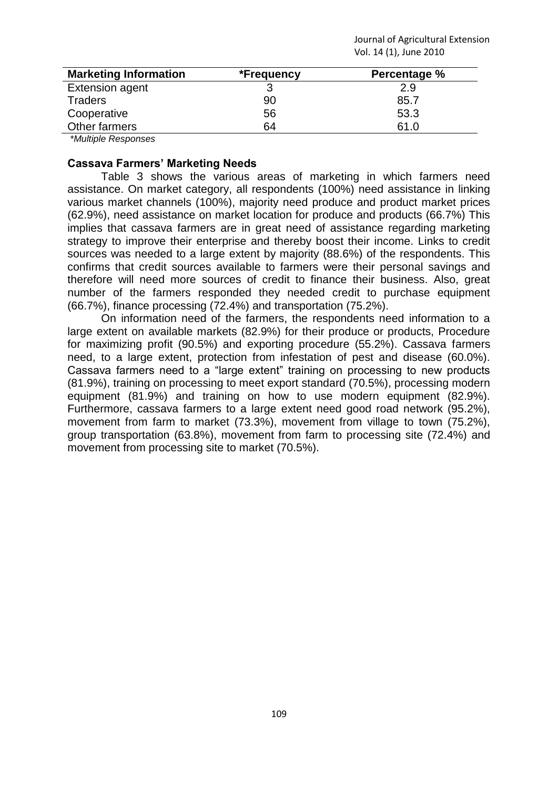Journal of Agricultural Extension Vol. 14 (1), June 2010

| <b>Marketing Information</b> | *Frequency | Percentage % |
|------------------------------|------------|--------------|
| <b>Extension agent</b>       |            | 2.9          |
| <b>Traders</b>               | 90         | 85.7         |
| Cooperative                  | 56         | 53.3         |
| Other farmers                | 64         | 61.0         |
| $*11111$ Designation         |            |              |

*\*Multiple Responses*

### **Cassava Farmers' Marketing Needs**

Table 3 shows the various areas of marketing in which farmers need assistance. On market category, all respondents (100%) need assistance in linking various market channels (100%), majority need produce and product market prices (62.9%), need assistance on market location for produce and products (66.7%) This implies that cassava farmers are in great need of assistance regarding marketing strategy to improve their enterprise and thereby boost their income. Links to credit sources was needed to a large extent by majority (88.6%) of the respondents. This confirms that credit sources available to farmers were their personal savings and therefore will need more sources of credit to finance their business. Also, great number of the farmers responded they needed credit to purchase equipment (66.7%), finance processing (72.4%) and transportation (75.2%).

On information need of the farmers, the respondents need information to a large extent on available markets (82.9%) for their produce or products, Procedure for maximizing profit (90.5%) and exporting procedure (55.2%). Cassava farmers need, to a large extent, protection from infestation of pest and disease (60.0%). Cassava farmers need to a "large extent" training on processing to new products (81.9%), training on processing to meet export standard (70.5%), processing modern equipment (81.9%) and training on how to use modern equipment (82.9%). Furthermore, cassava farmers to a large extent need good road network (95.2%), movement from farm to market (73.3%), movement from village to town (75.2%), group transportation (63.8%), movement from farm to processing site (72.4%) and movement from processing site to market (70.5%).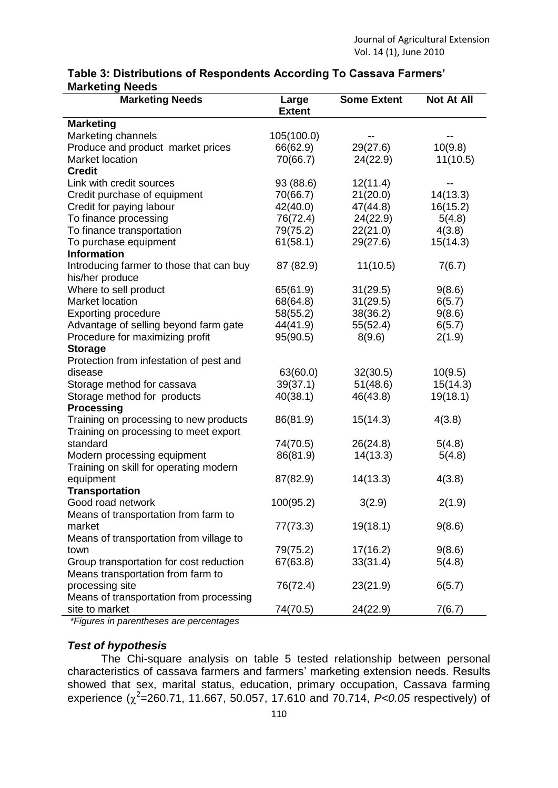## **Table 3: Distributions of Respondents According To Cassava Farmers' Marketing Needs**

| <b>Marketing Needs</b>                   | Large         | <b>Some Extent</b> | <b>Not At All</b> |
|------------------------------------------|---------------|--------------------|-------------------|
|                                          | <b>Extent</b> |                    |                   |
| <b>Marketing</b>                         |               |                    |                   |
| Marketing channels                       | 105(100.0)    |                    |                   |
| Produce and product market prices        | 66(62.9)      | 29(27.6)           | 10(9.8)           |
| Market location                          | 70(66.7)      | 24(22.9)           | 11(10.5)          |
| <b>Credit</b>                            |               |                    |                   |
| Link with credit sources                 | 93 (88.6)     | 12(11.4)           |                   |
| Credit purchase of equipment             | 70(66.7)      | 21(20.0)           | 14(13.3)          |
| Credit for paying labour                 | 42(40.0)      | 47(44.8)           | 16(15.2)          |
| To finance processing                    | 76(72.4)      | 24(22.9)           | 5(4.8)            |
| To finance transportation                | 79(75.2)      | 22(21.0)           | 4(3.8)            |
| To purchase equipment                    | 61(58.1)      | 29(27.6)           | 15(14.3)          |
| <b>Information</b>                       |               |                    |                   |
| Introducing farmer to those that can buy | 87 (82.9)     | 11(10.5)           | 7(6.7)            |
| his/her produce                          |               |                    |                   |
| Where to sell product                    | 65(61.9)      | 31(29.5)           | 9(8.6)            |
| Market location                          | 68(64.8)      | 31(29.5)           | 6(5.7)            |
| <b>Exporting procedure</b>               | 58(55.2)      | 38(36.2)           | 9(8.6)            |
| Advantage of selling beyond farm gate    | 44(41.9)      | 55(52.4)           | 6(5.7)            |
| Procedure for maximizing profit          | 95(90.5)      | 8(9.6)             | 2(1.9)            |
| <b>Storage</b>                           |               |                    |                   |
| Protection from infestation of pest and  |               |                    |                   |
| disease                                  | 63(60.0)      | 32(30.5)           | 10(9.5)           |
| Storage method for cassava               | 39(37.1)      | 51(48.6)           | 15(14.3)          |
| Storage method for products              | 40(38.1)      | 46(43.8)           | 19(18.1)          |
| <b>Processing</b>                        |               |                    |                   |
| Training on processing to new products   | 86(81.9)      | 15(14.3)           | 4(3.8)            |
| Training on processing to meet export    |               |                    |                   |
| standard                                 | 74(70.5)      | 26(24.8)           | 5(4.8)            |
| Modern processing equipment              | 86(81.9)      | 14(13.3)           | 5(4.8)            |
| Training on skill for operating modern   |               |                    |                   |
| equipment                                | 87(82.9)      | 14(13.3)           | 4(3.8)            |
| <b>Transportation</b>                    |               |                    |                   |
| Good road network                        | 100(95.2)     | 3(2.9)             | 2(1.9)            |
| Means of transportation from farm to     |               |                    |                   |
| market                                   | 77(73.3)      | 19(18.1)           | 9(8.6)            |
| Means of transportation from village to  |               |                    |                   |
| town                                     | 79(75.2)      | 17(16.2)           | 9(8.6)            |
| Group transportation for cost reduction  | 67(63.8)      | 33(31.4)           | 5(4.8)            |
| Means transportation from farm to        |               |                    |                   |
| processing site                          | 76(72.4)      | 23(21.9)           | 6(5.7)            |
| Means of transportation from processing  |               |                    |                   |
| site to market                           | 74(70.5)      | 24(22.9)           | 7(6.7)            |

*\*Figures in parentheses are percentages*

# *Test of hypothesis*

The Chi-square analysis on table 5 tested relationship between personal characteristics of cassava farmers and farmers' marketing extension needs. Results showed that sex, marital status, education, primary occupation, Cassava farming experience  $(\chi^2 = 260.71, 11.667, 50.057, 17.610, \text{ and } 70.714, P < 0.05$  respectively) of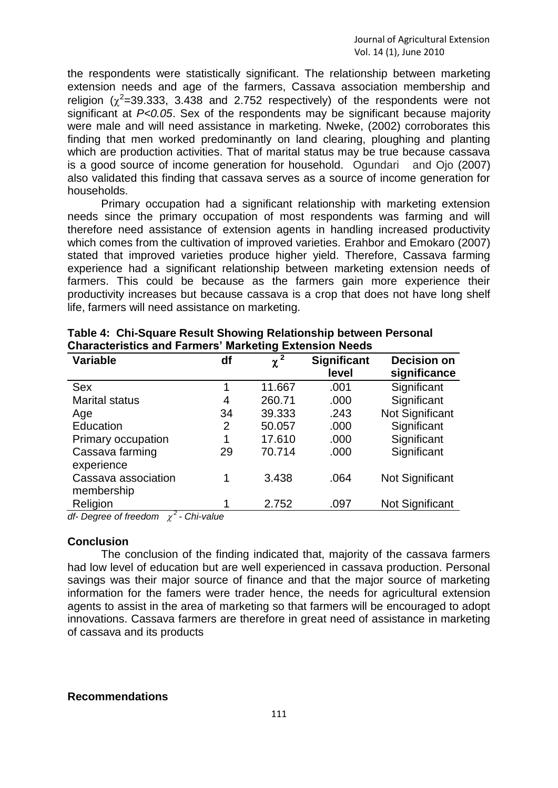the respondents were statistically significant. The relationship between marketing extension needs and age of the farmers, Cassava association membership and religion ( $\chi^2$ =39.333, 3.438 and 2.752 respectively) of the respondents were not significant at *P<0.05*. Sex of the respondents may be significant because majority were male and will need assistance in marketing. Nweke, (2002) corroborates this finding that men worked predominantly on land clearing, ploughing and planting which are production activities. That of marital status may be true because cassava is a good source of income generation for household. Ogundari and Ojo (2007) also validated this finding that cassava serves as a source of income generation for households.

Primary occupation had a significant relationship with marketing extension needs since the primary occupation of most respondents was farming and will therefore need assistance of extension agents in handling increased productivity which comes from the cultivation of improved varieties. Erahbor and Emokaro (2007) stated that improved varieties produce higher yield. Therefore, Cassava farming experience had a significant relationship between marketing extension needs of farmers. This could be because as the farmers gain more experience their productivity increases but because cassava is a crop that does not have long shelf life, farmers will need assistance on marketing.

| <b>Variable</b>                   | df | $\chi^2$ | <b>Significant</b><br>level | <b>Decision on</b><br>significance |
|-----------------------------------|----|----------|-----------------------------|------------------------------------|
| <b>Sex</b>                        | 1  | 11.667   | .001                        | Significant                        |
| <b>Marital status</b>             | 4  | 260.71   | .000                        | Significant                        |
| Age                               | 34 | 39.333   | .243                        | Not Significant                    |
| Education                         | 2  | 50.057   | .000                        | Significant                        |
| Primary occupation                | 1  | 17.610   | .000                        | Significant                        |
| Cassava farming<br>experience     | 29 | 70.714   | .000                        | Significant                        |
| Cassava association<br>membership | 1  | 3.438    | .064                        | Not Significant                    |
| Religion<br>$\overline{ }$        | 1  | 2.752    | .097                        | Not Significant                    |

| Table 4: Chi-Square Result Showing Relationship between Personal |
|------------------------------------------------------------------|
| <b>Characteristics and Farmers' Marketing Extension Needs</b>    |

*df- Degree of freedom 2 - Chi-value*

### **Conclusion**

The conclusion of the finding indicated that, majority of the cassava farmers had low level of education but are well experienced in cassava production. Personal savings was their major source of finance and that the major source of marketing information for the famers were trader hence, the needs for agricultural extension agents to assist in the area of marketing so that farmers will be encouraged to adopt innovations. Cassava farmers are therefore in great need of assistance in marketing of cassava and its products

#### **Recommendations**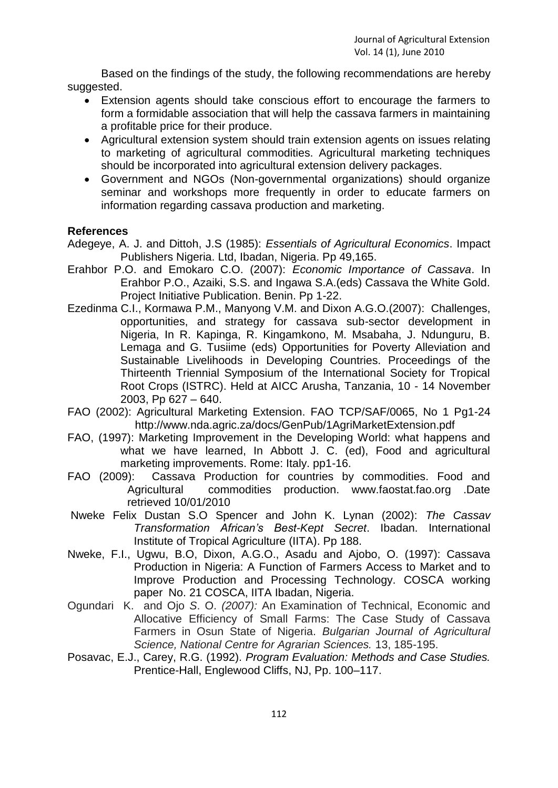Based on the findings of the study, the following recommendations are hereby suggested.

- Extension agents should take conscious effort to encourage the farmers to form a formidable association that will help the cassava farmers in maintaining a profitable price for their produce.
- Agricultural extension system should train extension agents on issues relating to marketing of agricultural commodities. Agricultural marketing techniques should be incorporated into agricultural extension delivery packages.
- Government and NGOs (Non-governmental organizations) should organize seminar and workshops more frequently in order to educate farmers on information regarding cassava production and marketing.

## **References**

- Adegeye, A. J. and Dittoh, J.S (1985): *Essentials of Agricultural Economics*. Impact Publishers Nigeria. Ltd, Ibadan, Nigeria. Pp 49,165.
- Erahbor P.O. and Emokaro C.O. (2007): *Economic Importance of Cassava*. In Erahbor P.O., Azaiki, S.S. and Ingawa S.A.(eds) Cassava the White Gold. Project Initiative Publication. Benin. Pp 1-22.
- Ezedinma C.I., Kormawa P.M., Manyong V.M. and Dixon A.G.O.(2007): Challenges, opportunities, and strategy for cassava sub-sector development in Nigeria, In R. Kapinga, R. Kingamkono, M. Msabaha, J. Ndunguru, B. Lemaga and G. Tusiime (eds) Opportunities for Poverty Alleviation and Sustainable Livelihoods in Developing Countries. Proceedings of the Thirteenth Triennial Symposium of the International Society for Tropical Root Crops (ISTRC). Held at AICC Arusha, Tanzania, 10 - 14 November 2003, Pp 627 – 640.
- FAO (2002): Agricultural Marketing Extension. FAO TCP/SAF/0065, No 1 Pg1-24 http://www.nda.agric.za/docs/GenPub/1AgriMarketExtension.pdf
- FAO, (1997): Marketing Improvement in the Developing World: what happens and what we have learned, In Abbott J. C. (ed), Food and agricultural marketing improvements. Rome: Italy. pp1-16.
- FAO (2009): Cassava Production for countries by commodities. Food and Agricultural commodities production. www.faostat.fao.org .Date retrieved 10/01/2010
- Nweke Felix Dustan S.O Spencer and John K. Lynan (2002): *The Cassav Transformation African's Best-Kept Secret*. Ibadan. International Institute of Tropical Agriculture (IITA). Pp 188.
- Nweke, F.I., Ugwu, B.O, Dixon, A.G.O., Asadu and Ajobo, O. (1997): Cassava Production in Nigeria: A Function of Farmers Access to Market and to Improve Production and Processing Technology. COSCA working paper No. 21 COSCA, IITA Ibadan, Nigeria.
- Ogundari K.and Ojo *S*. O. *(2007):* An Examination of Technical, Economic and Allocative Efficiency of Small Farms: The Case Study of Cassava Farmers in Osun State of Nigeria. *Bulgarian Journal of Agricultural Science, National Centre for Agrarian Sciences.* 13, 185-195.
- Posavac, E.J., Carey, R.G. (1992). *Program Evaluation: Methods and Case Studies.*  Prentice-Hall, Englewood Cliffs, NJ, Pp. 100–117.